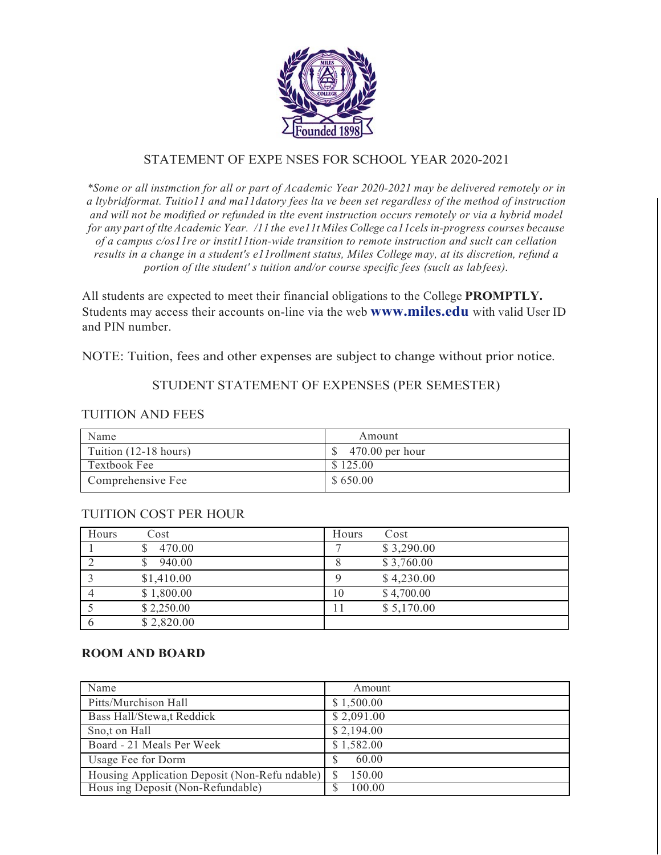

# STATEMENT OF EXPE NSES FOR SCHOOL YEAR 2020-2021

*\*Some or all instmction for all or part of Academic Year 2020-2021 may be delivered remotely or in a ltybridformat. Tuitio11 and ma11datory fees lta ve been set regardless of the method of instruction and will not be modified or refunded in tlte event instruction occurs remotely or via a hybrid model for any part of tlte Academic Year. /11 the eve11t Miles College ca11cels in-progress courses because of a campus c/os11re or instit11tion-wide transition to remote instruction and suclt can cellation results in a change in a student's e11rollment status, Miles College may, at its discretion, refund a portion of tlte student' s tuition and/or course specific fees (suclt as labfees).*

All students are expected to meet their financial obligations to the College **PROMPTLY.**  Students may access their accounts on-line via the web **www.miles.edu** with valid User ID and PIN number.

NOTE: Tuition, fees and other expenses are subject to change without prior notice.

# STUDENT STATEMENT OF EXPENSES (PER SEMESTER)

### TUITION AND FEES

| Name                  | Amount            |
|-----------------------|-------------------|
| Tuition (12-18 hours) | $470.00$ per hour |
| Textbook Fee          | \$125.00          |
| Comprehensive Fee     | \$650.00          |

# TUITION COST PER HOUR

| Hours | Cost       | Hours | Cost       |
|-------|------------|-------|------------|
|       | 470.00     |       | \$3,290.00 |
|       | 940.00     |       | \$3,760.00 |
|       | \$1,410.00 |       | \$4,230.00 |
|       | \$1,800.00 | 10    | \$4,700.00 |
|       | \$2,250.00 |       | \$5,170.00 |
|       | \$2,820.00 |       |            |

### **ROOM AND BOARD**

| Name                                          | Amount     |
|-----------------------------------------------|------------|
| Pitts/Murchison Hall                          | \$1,500.00 |
| Bass Hall/Stewa,t Reddick                     | \$2,091.00 |
| Sno,t on Hall                                 | \$2,194.00 |
| Board - 21 Meals Per Week                     | \$1,582.00 |
| Usage Fee for Dorm                            | 60.00      |
| Housing Application Deposit (Non-Refu ndable) | 150.00     |
| Hous ing Deposit (Non-Refundable)             | 100.00     |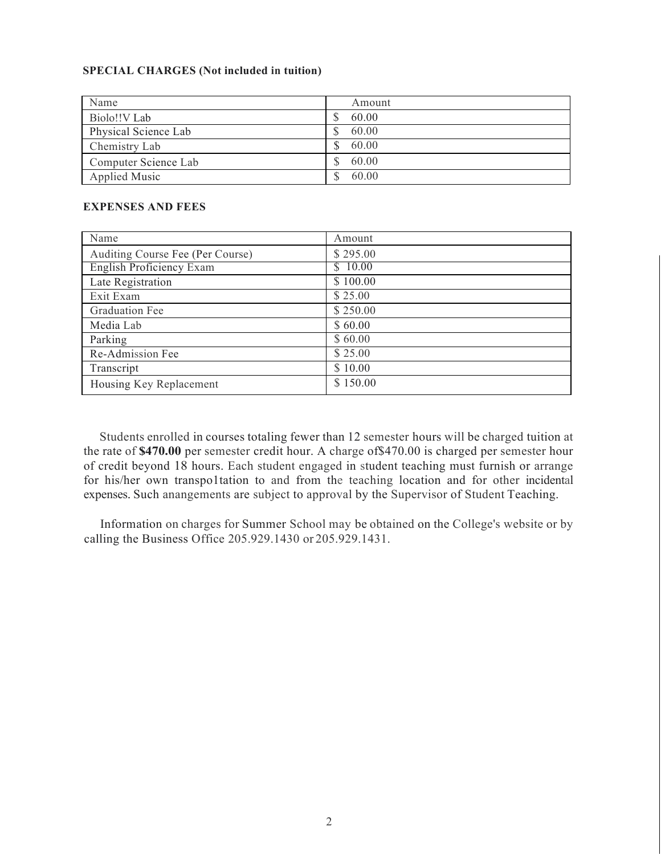#### **SPECIAL CHARGES (Not included in tuition)**

| Name                 | Amount |
|----------------------|--------|
| Biolo!!V Lab         | 60.00  |
| Physical Science Lab | 60.00  |
| Chemistry Lab        | 60.00  |
| Computer Science Lab | 60.00  |
| <b>Applied Music</b> | 60.00  |

#### **EXPENSES AND FEES**

| Name                             | Amount   |
|----------------------------------|----------|
| Auditing Course Fee (Per Course) | \$295.00 |
| <b>English Proficiency Exam</b>  | \$10.00  |
| Late Registration                | \$100.00 |
| Exit Exam                        | \$25.00  |
| Graduation Fee                   | \$250.00 |
| Media Lab                        | \$60.00  |
| Parking                          | \$60.00  |
| Re-Admission Fee                 | \$25.00  |
| Transcript                       | \$10.00  |
| Housing Key Replacement          | \$150.00 |

Students enrolled in courses totaling fewer than 12 semester hours will be charged tuition at the rate of **\$470.00** per semester credit hour. A charge of\$470.00 is charged per semester hour of credit beyond 18 hours. Each student engaged in student teaching must furnish or arrange for his/her own transpo1tation to and from the teaching location and for other incidental expenses. Such anangements are subject to approval by the Supervisor of Student Teaching.

Information on charges for Summer School may be obtained on the College's website or by calling the Business Office 205.929.1430 or 205.929.1431.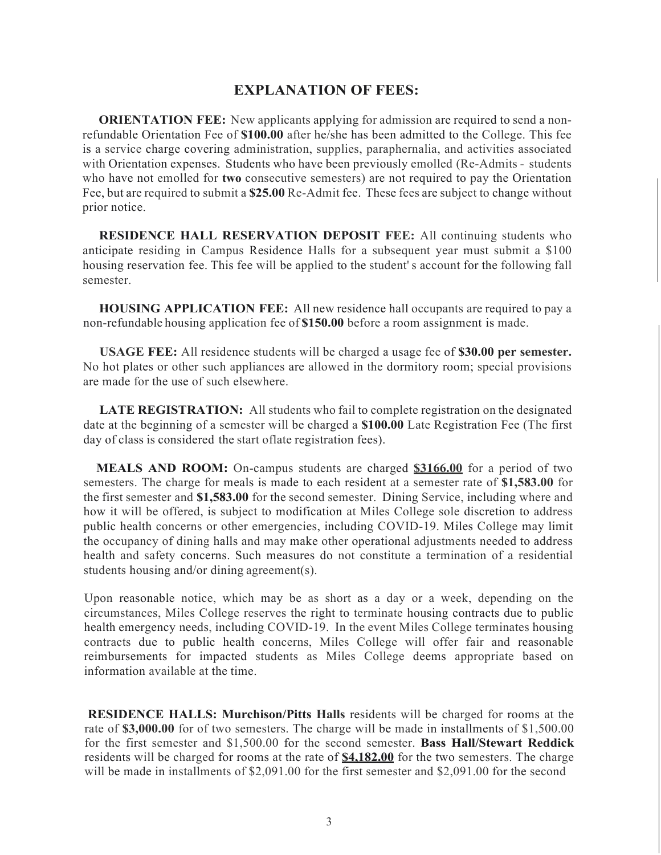### **EXPLANATION OF FEES:**

**ORIENTATION FEE:** New applicants applying for admission are required to send a nonrefundable Orientation Fee of **\$100.00** after he/she has been admitted to the College. This fee is a service charge covering administration, supplies, paraphernalia, and activities associated with Orientation expenses. Students who have been previously emolled (Re-Admits - students who have not emolled for **two** consecutive semesters) are not required to pay the Orientation Fee, but are required to submit a **\$25.00** Re-Admit fee. These fees are subject to change without prior notice.

**RESIDENCE HALL RESERVATION DEPOSIT FEE:** All continuing students who anticipate residing in Campus Residence Halls for a subsequent year must submit a \$100 housing reservation fee. This fee will be applied to the student' s account for the following fall semester.

**HOUSING APPLICATION FEE:** All new residence hall occupants are required to pay a non-refundable housing application fee of **\$150.00** before a room assignment is made.

**USAGE FEE:** All residence students will be charged a usage fee of **\$30.00 per semester.**  No hot plates or other such appliances are allowed in the dormitory room; special provisions are made for the use of such elsewhere.

**LATE REGISTRATION:** All students who fail to complete registration on the designated date at the beginning of a semester will be charged a **\$100.00** Late Registration Fee (The first day of class is considered the start oflate registration fees).

**MEALS AND ROOM:** On-campus students are charged **\$3166.00** for a period of two semesters. The charge for meals is made to each resident at a semester rate of **\$1,583.00** for the first semester and **\$1,583.00** for the second semester. Dining Service, including where and how it will be offered, is subject to modification at Miles College sole discretion to address public health concerns or other emergencies, including COVID-19. Miles College may limit the occupancy of dining halls and may make other operational adjustments needed to address health and safety concerns. Such measures do not constitute a termination of a residential students housing and/or dining agreement(s).

Upon reasonable notice, which may be as short as a day or a week, depending on the circumstances, Miles College reserves the right to terminate housing contracts due to public health emergency needs, including COVID-19. In the event Miles College terminates housing contracts due to public health concerns, Miles College will offer fair and reasonable reimbursements for impacted students as Miles College deems appropriate based on information available at the time.

**RESIDENCE HALLS: Murchison/Pitts Halls** residents will be charged for rooms at the rate of **\$3,000.00** for of two semesters. The charge will be made in installments of \$1,500.00 for the first semester and \$1,500.00 for the second semester. **Bass Hall/Stewart Reddick**  residents will be charged for rooms at the rate of **\$4,182.00** for the two semesters. The charge will be made in installments of \$2,091.00 for the first semester and \$2,091.00 for the second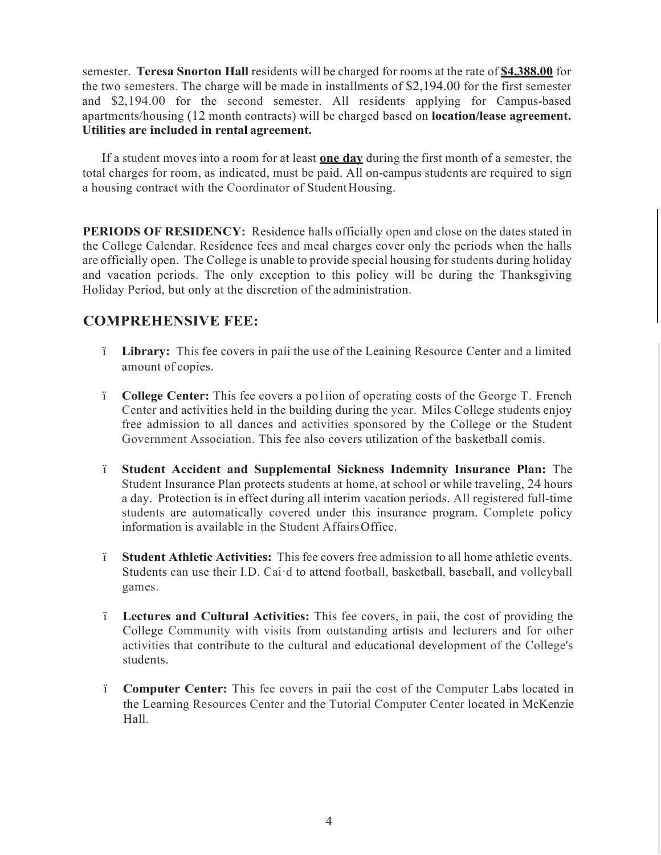semester. **Teresa Snorton Hall** residents will be charged for rooms at the rate of **\$4,388.00** for the two semesters. The charge will be made in installments of \$2,194.00 for the first semester and \$2,194.00 for the second semester. All residents applying for Campus-based apartments/housing (12 month contracts) will be charged based on **location/lease agreement. Utilities are included in rental agreement.**

If a student moves into a room for at least **one day** during the first month of a semester, the total charges for room, as indicated, must be paid. All on-campus students are required to sign a housing contract with the Coordinator of StudentHousing.

**PERIODS OF RESIDENCY:** Residence halls officially open and close on the dates stated in the College Calendar. Residence fees and meal charges cover only the periods when the halls are officially open. The College is unable to provide special housing for students during holiday and vacation periods. The only exception to this policy will be during the Thanksgiving Holiday Period, but only at the discretion of the administration.

# **COMPREHENSIVE FEE:**

- ï **Library:** This fee covers in paii the use of the Leaining Resource Center and a limited amount of copies.
- ï **College Center:** This fee covers a po1iion of operating costs of the George T. French Center and activities held in the building during the year. Miles College students enjoy free admission to all dances and activities sponsored by the College or the Student Government Association. This fee also covers utilization of the basketball comis.
- ï **Student Accident and Supplemental Sickness Indemnity Insurance Plan:** The Student Insurance Plan protects students at home, at school or while traveling, 24 hours a day. Protection is in effect during all interim vacation periods. All registered full-time students are automatically covered under this insurance program. Complete policy information is available in the Student AffairsOffice.
- ï **Student Athletic Activities:** This fee covers free admission to all home athletic events. Students can use their I.D. Cai·d to attend football, basketball, baseball, and volleyball games.
- ï **Lectures and Cultural Activities:** This fee covers, in paii, the cost of providing the College Community with visits from outstanding artists and lecturers and for other activities that contribute to the cultural and educational development of the College's students.
- ï **Computer Center:** This fee covers in paii the cost of the Computer Labs located in the Learning Resources Center and the Tutorial Computer Center located in McKenzie Hall.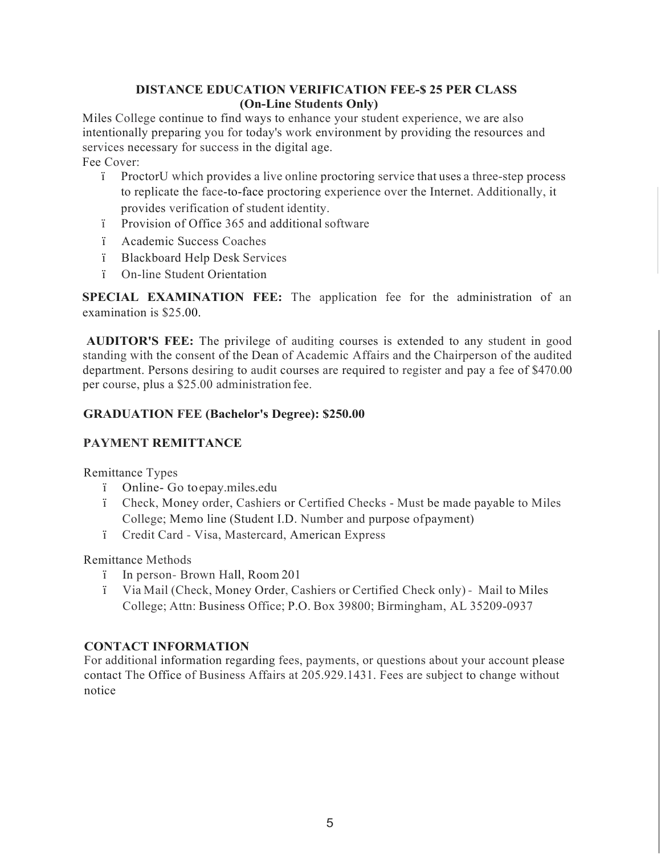### **DISTANCE EDUCATION VERIFICATION FEE-\$ 25 PER CLASS (On-Line Students Only)**

Miles College continue to find ways to enhance your student experience, we are also intentionally preparing you for today's work environment by providing the resources and services necessary for success in the digital age. Fee Cover:

- ï ProctorU which provides a live online proctoring service that uses a three-step process to replicate the face-to-face proctoring experience over the Internet. Additionally, it provides verification of student identity.
- ï Provision of Office 365 and additional software
- ï Academic Success Coaches
- ï Blackboard Help Desk Services
- ï On-line Student Orientation

**SPECIAL EXAMINATION FEE:** The application fee for the administration of an examination is \$25.00.

**AUDITOR'S FEE:** The privilege of auditing courses is extended to any student in good standing with the consent of the Dean of Academic Affairs and the Chairperson of the audited department. Persons desiring to audit courses are required to register and pay a fee of \$470.00 per course, plus a \$25.00 administration fee.

# **GRADUATION FEE (Bachelor's Degree): \$250.00**

### **PAYMENT REMITTANCE**

Remittance Types

- ï Online- Go toepay.miles.edu
- ï Check, Money order, Cashiers or Certified Checks Must be made payable to Miles College; Memo line (Student I.D. Number and purpose ofpayment)
- ï Credit Card Visa, Mastercard, American Express

Remittance Methods

- ï In person- Brown Hall, Room 201
- ï Via Mail (Check, Money Order, Cashiers or Certified Check only) Mail to Miles College; Attn: Business Office; P.O. Box 39800; Birmingham, AL 35209-0937

### **CONTACT INFORMATION**

For additional information regarding fees, payments, or questions about your account please contact The Office of Business Affairs at 205.929.1431. Fees are subject to change without notice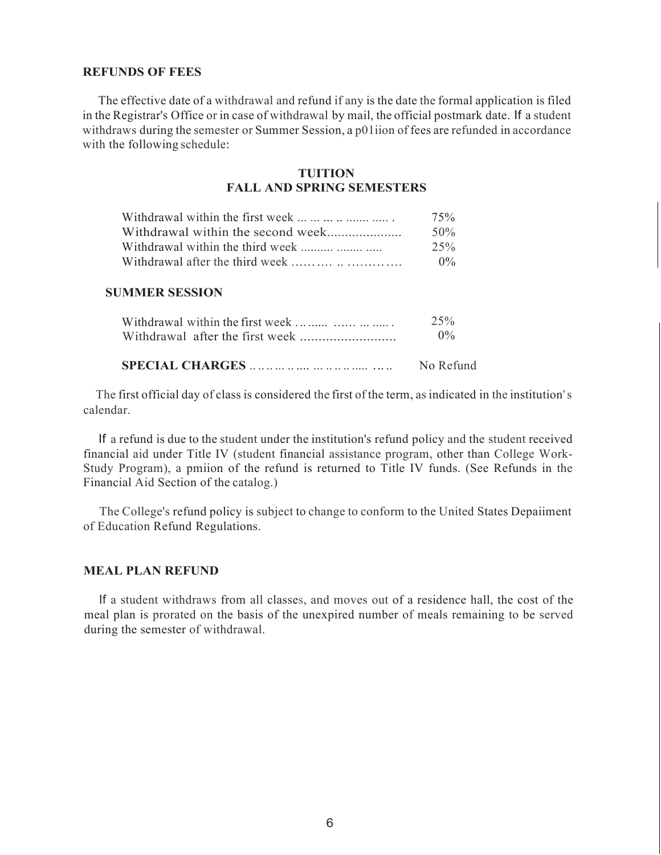#### **REFUNDS OF FEES**

The effective date of a withdrawal and refund if any is the date the formal application is filed in the Registrar's Office or in case of withdrawal by mail, the official postmark date. If a student withdraws during the semester or Summer Session, a p01iion of fees are refunded in accordance with the following schedule:

### **TUITION FALL AND SPRING SEMESTERS**

| Withdrawal within the first week                                             | 75%   |
|------------------------------------------------------------------------------|-------|
| Withdrawal within the second week                                            | 50%   |
| Withdrawal within the third week                                             | 25%   |
| Withdrawal after the third week $\ldots$ $\ldots$ $\ldots$ $\ldots$ $\ldots$ | $0\%$ |

### **SUMMER SESSION**

| Withdrawal within the first week | 25%       |  |
|----------------------------------|-----------|--|
|                                  | $0\%$     |  |
|                                  | No Refund |  |

The first official day of class is considered the first of the term, as indicated in the institution's calendar.

If a refund is due to the student under the institution's refund policy and the student received financial aid under Title IV (student financial assistance program, other than College Work-Study Program), a pmiion of the refund is returned to Title IV funds. (See Refunds in the Financial Aid Section of the catalog.)

The College's refund policy is subject to change to conform to the United States Depaiiment of Education Refund Regulations.

### **MEAL PLAN REFUND**

If a student withdraws from all classes, and moves out of a residence hall, the cost of the meal plan is prorated on the basis of the unexpired number of meals remaining to be served during the semester of withdrawal.